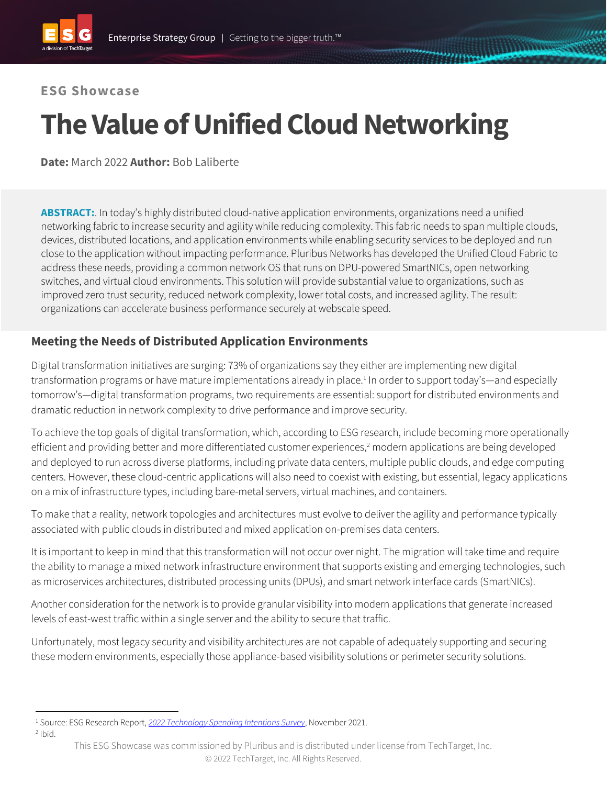## **ESG Showcase**

# **The Value of Unified Cloud Networking**

**Date:** March 2022 **Author:** Bob Laliberte

**ABSTRACT:**. In today's highly distributed cloud-native application environments, organizations need a unified networking fabric to increase security and agility while reducing complexity. This fabric needs to span multiple clouds, devices, distributed locations, and application environments while enabling security services to be deployed and run close to the application without impacting performance. Pluribus Networks has developed the Unified Cloud Fabric to address these needs, providing a common network OS that runs on DPU-powered SmartNICs, open networking switches, and virtual cloud environments. This solution will provide substantial value to organizations, such as improved zero trust security, reduced network complexity, lower total costs, and increased agility. The result: organizations can accelerate business performance securely at webscale speed.

## **Meeting the Needs of Distributed Application Environments**

Digital transformation initiatives are surging: 73% of organizations say they either are implementing new digital transformation programs or have mature implementations already in place.<sup>1</sup> In order to support today's—and especially tomorrow's—digital transformation programs, two requirements are essential: support for distributed environments and dramatic reduction in network complexity to drive performance and improve security.

To achieve the top goals of digital transformation, which, according to ESG research, include becoming more operationally efficient and providing better and more differentiated customer experiences,<sup>2</sup> modern applications are being developed and deployed to run across diverse platforms, including private data centers, multiple public clouds, and edge computing centers. However, these cloud-centric applications will also need to coexist with existing, but essential, legacy applications on a mix of infrastructure types, including bare-metal servers, virtual machines, and containers.

To make that a reality, network topologies and architectures must evolve to deliver the agility and performance typically associated with public clouds in distributed and mixed application on-premises data centers.

It is important to keep in mind that this transformation will not occur over night. The migration will take time and require the ability to manage a mixed network infrastructure environment that supports existing and emerging technologies, such as microservices architectures, distributed processing units (DPUs), and smart network interface cards (SmartNICs).

Another consideration for the network is to provide granular visibility into modern applications that generate increased levels of east-west traffic within a single server and the ability to secure that traffic.

Unfortunately, most legacy security and visibility architectures are not capable of adequately supporting and securing these modern environments, especially those appliance-based visibility solutions or perimeter security solutions.

 $2$  Ibid.

<sup>1</sup> Source: ESG Research Report, *[2022 Technology Spending Intentions Survey](https://research.esg-global.com/reportaction/2022TechnologySpendingIntentionsSurveyRPT/Toc)*, November 2021.

This ESG Showcase was commissioned by Pluribus and is distributed under license from TechTarget, Inc. © 2022 TechTarget, Inc. All Rights Reserved.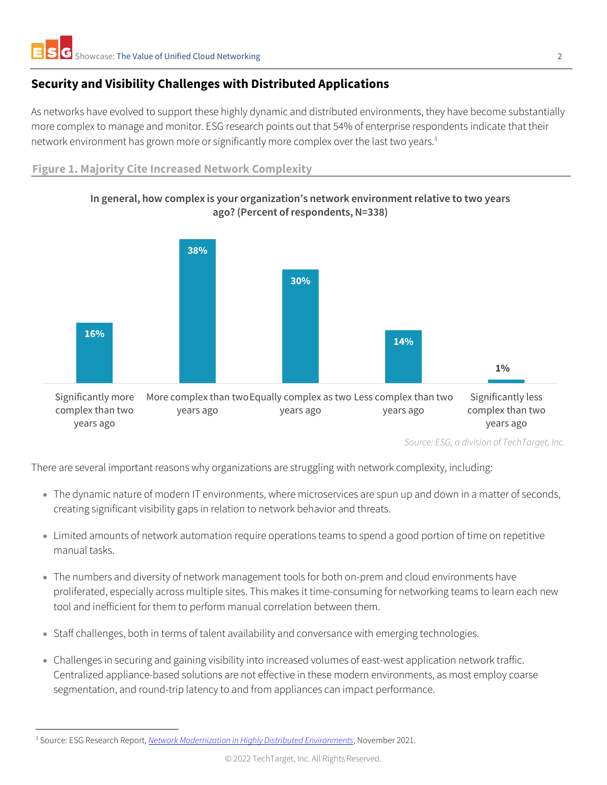# **Security and Visibility Challenges with Distributed Applications**

As networks have evolved to support these highly dynamic and distributed environments, they have become substantially more complex to manage and monitor. ESG research points out that 54% of enterprise respondents indicate that their network environment has grown more or significantly more complex over the last two years. 3

#### **Figure 1. Majority Cite Increased Network Complexity**



**In general, how complex is your organization's network environment relative to two years ago? (Percent of respondents, N=338)**

*Source: ESG, a division of TechTarget, Inc.*

There are several important reasons why organizations are struggling with network complexity, including:

- The dynamic nature of modern IT environments, where microservices are spun up and down in a matter of seconds, creating significant visibility gaps in relation to network behavior and threats.
- Limited amounts of network automation require operations teams to spend a good portion of time on repetitive manual tasks.
- The numbers and diversity of network management tools for both on-prem and cloud environments have proliferated, especially across multiple sites. This makes it time-consuming for networking teams to learn each new tool and inefficient for them to perform manual correlation between them.
- Staff challenges, both in terms of talent availability and conversance with emerging technologies.
- Challenges in securing and gaining visibility into increased volumes of east-west application network traffic. Centralized appliance-based solutions are not effective in these modern environments, as most employ coarse segmentation, and round-trip latency to and from appliances can impact performance.

<sup>3</sup> Source: ESG Research Report, *[Network Modernization in Highly Distributed Environments](https://research.esg-global.com/reportaction/NetworkModernizationHighlyDistributedEnvironments/Toc)*, November 2021.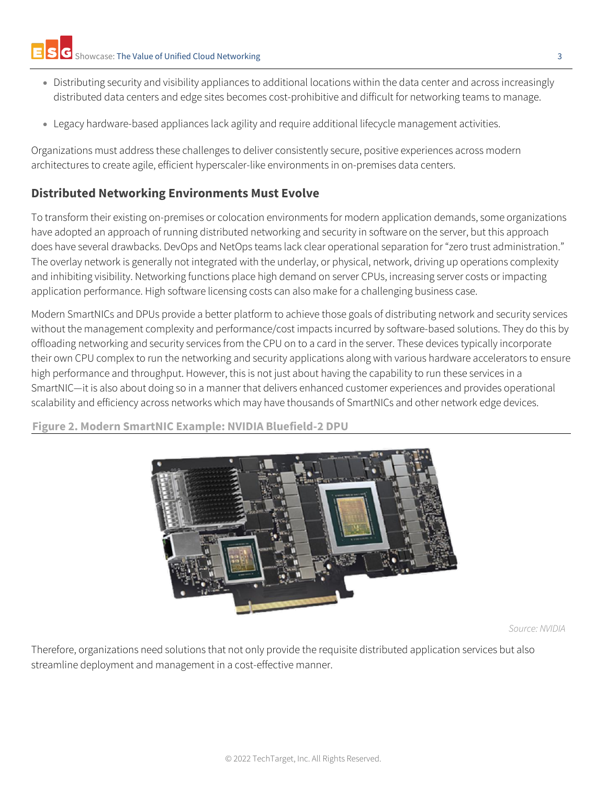- Distributing security and visibility appliances to additional locations within the data center and across increasingly distributed data centers and edge sites becomes cost-prohibitive and difficult for networking teams to manage.
- Legacy hardware-based appliances lack agility and require additional lifecycle management activities.

Organizations must address these challenges to deliver consistently secure, positive experiences across modern architectures to create agile, efficient hyperscaler-like environments in on-premises data centers.

## **Distributed Networking Environments Must Evolve**

To transform their existing on-premises or colocation environments for modern application demands, some organizations have adopted an approach of running distributed networking and security in software on the server, but this approach does have several drawbacks. DevOps and NetOps teams lack clear operational separation for "zero trust administration." The overlay network is generally not integrated with the underlay, or physical, network, driving up operations complexity and inhibiting visibility. Networking functions place high demand on server CPUs, increasing server costs or impacting application performance. High software licensing costs can also make for a challenging business case.

Modern SmartNICs and DPUs provide a better platform to achieve those goals of distributing network and security services without the management complexity and performance/cost impacts incurred by software-based solutions. They do this by offloading networking and security services from the CPU on to a card in the server. These devices typically incorporate their own CPU complex to run the networking and security applications along with various hardware accelerators to ensure high performance and throughput. However, this is not just about having the capability to run these services in a SmartNIC—it is also about doing so in a manner that delivers enhanced customer experiences and provides operational scalability and efficiency across networks which may have thousands of SmartNICs and other network edge devices.

**Figure 2. Modern SmartNIC Example: NVIDIA Bluefield-2 DPU**



*Source: NVIDIA*

Therefore, organizations need solutions that not only provide the requisite distributed application services but also streamline deployment and management in a cost-effective manner.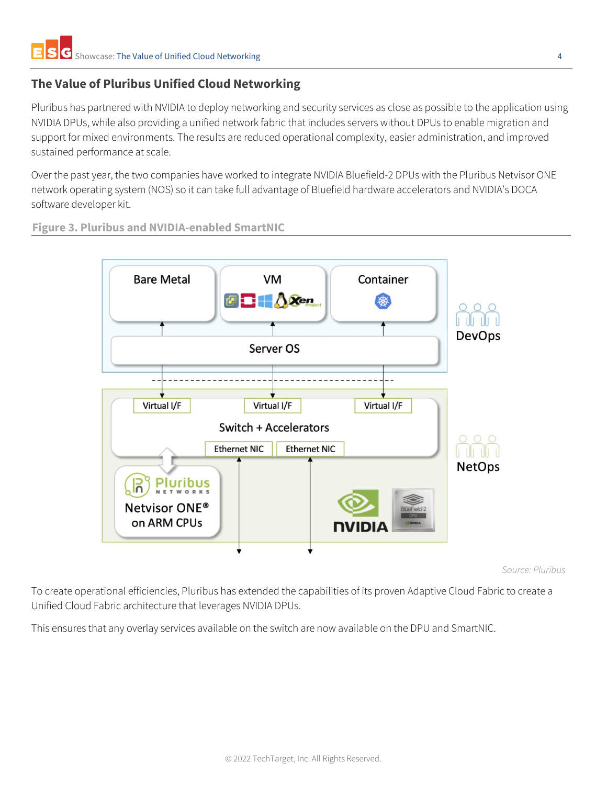# **The Value of Pluribus Unified Cloud Networking**

Pluribus has partnered with NVIDIA to deploy networking and security services as close as possible to the application using NVIDIA DPUs, while also providing a unified network fabric that includes servers without DPUs to enable migration and support for mixed environments. The results are reduced operational complexity, easier administration, and improved sustained performance at scale.

Over the past year, the two companies have worked to integrate NVIDIA Bluefield-2 DPUs with the Pluribus Netvisor ONE network operating system (NOS) so it can take full advantage of Bluefield hardware accelerators and NVIDIA's DOCA software developer kit.

**Figure 3. Pluribus and NVIDIA-enabled SmartNIC**



*Source: Pluribus*

To create operational efficiencies, Pluribus has extended the capabilities of its proven Adaptive Cloud Fabric to create a Unified Cloud Fabric architecture that leverages NVIDIA DPUs.

This ensures that any overlay services available on the switch are now available on the DPU and SmartNIC.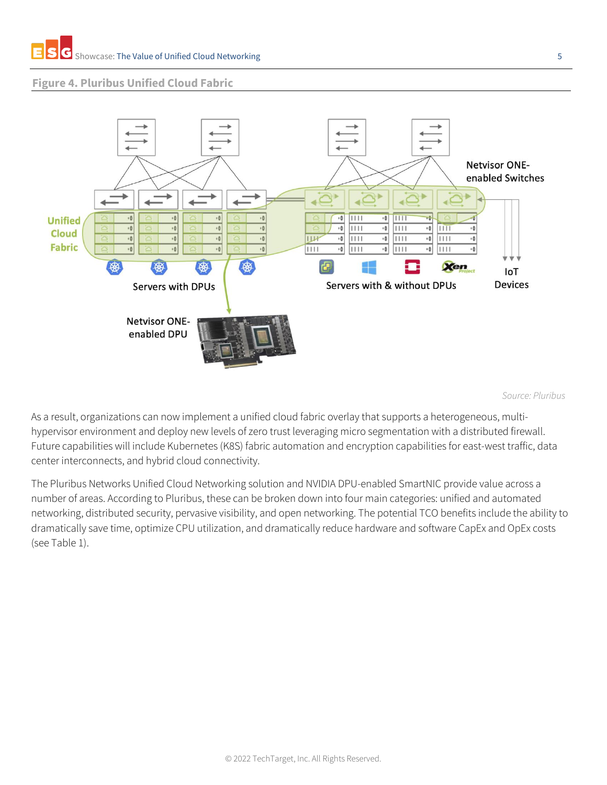#### **Figure 4. Pluribus Unified Cloud Fabric**



*Source: Pluribus*

As a result, organizations can now implement a unified cloud fabric overlay that supports a heterogeneous, multihypervisor environment and deploy new levels of zero trust leveraging micro segmentation with a distributed firewall. Future capabilities will include Kubernetes (K8S) fabric automation and encryption capabilities for east-west traffic, data center interconnects, and hybrid cloud connectivity.

The Pluribus Networks Unified Cloud Networking solution and NVIDIA DPU-enabled SmartNIC provide value across a number of areas. According to Pluribus, these can be broken down into four main categories: unified and automated networking, distributed security, pervasive visibility, and open networking. The potential TCO benefits include the ability to dramatically save time, optimize CPU utilization, and dramatically reduce hardware and software CapEx and OpEx costs (see Table 1).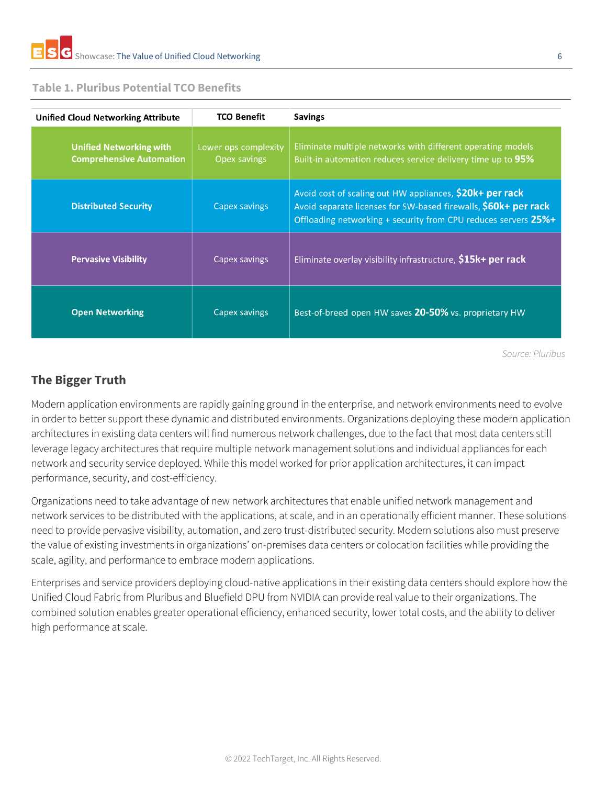#### **Table 1. Pluribus Potential TCO Benefits**

| <b>Unified Cloud Networking Attribute</b>                         | <b>TCO Benefit</b>                   | <b>Savings</b>                                                                                                                                                                                |
|-------------------------------------------------------------------|--------------------------------------|-----------------------------------------------------------------------------------------------------------------------------------------------------------------------------------------------|
| <b>Unified Networking with</b><br><b>Comprehensive Automation</b> | Lower ops complexity<br>Opex savings | Eliminate multiple networks with different operating models<br>Built-in automation reduces service delivery time up to 95%                                                                    |
| <b>Distributed Security</b>                                       | Capex savings                        | Avoid cost of scaling out HW appliances, \$20k+ per rack<br>Avoid separate licenses for SW-based firewalls, \$60k+ per rack<br>Offloading networking + security from CPU reduces servers 25%+ |
| <b>Pervasive Visibility</b>                                       | Capex savings                        | Eliminate overlay visibility infrastructure, \$15k+ per rack                                                                                                                                  |
| <b>Open Networking</b>                                            | Capex savings                        | Best-of-breed open HW saves 20-50% vs. proprietary HW                                                                                                                                         |

*Source: Pluribus*

#### **The Bigger Truth**

Modern application environments are rapidly gaining ground in the enterprise, and network environments need to evolve in order to better support these dynamic and distributed environments. Organizations deploying these modern application architectures in existing data centers will find numerous network challenges, due to the fact that most data centers still leverage legacy architectures that require multiple network management solutions and individual appliances for each network and security service deployed. While this model worked for prior application architectures, it can impact performance, security, and cost-efficiency.

Organizations need to take advantage of new network architectures that enable unified network management and network services to be distributed with the applications, at scale, and in an operationally efficient manner. These solutions need to provide pervasive visibility, automation, and zero trust-distributed security. Modern solutions also must preserve the value of existing investments in organizations' on-premises data centers or colocation facilities while providing the scale, agility, and performance to embrace modern applications.

Enterprises and service providers deploying cloud-native applications in their existing data centers should explore how the Unified Cloud Fabric from Pluribus and Bluefield DPU from NVIDIA can provide real value to their organizations. The combined solution enables greater operational efficiency, enhanced security, lower total costs, and the ability to deliver high performance at scale.